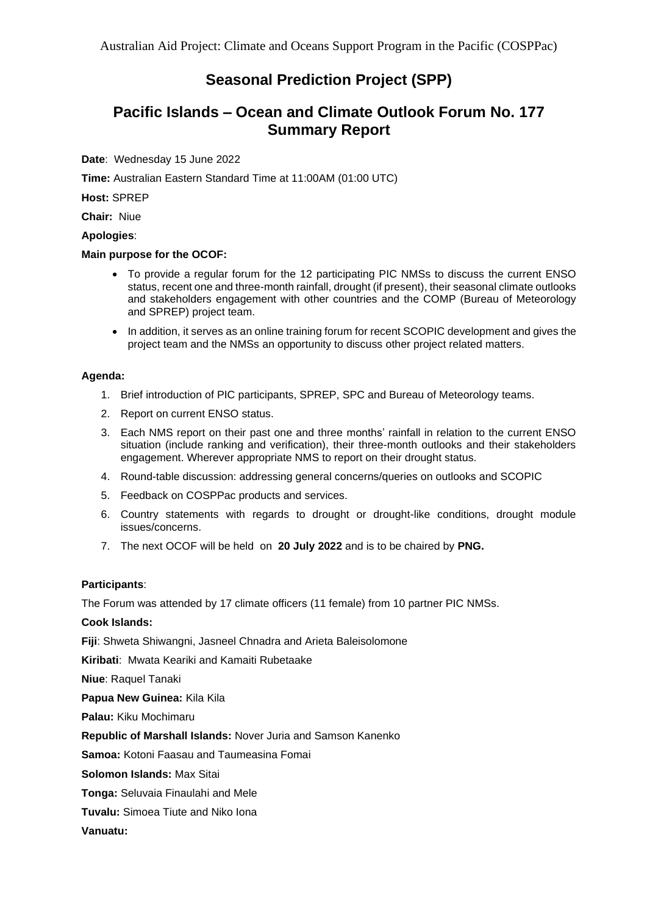# **Seasonal Prediction Project (SPP)**

# **Pacific Islands – Ocean and Climate Outlook Forum No. 177 Summary Report**

#### **Date**: Wednesday 15 June 2022

**Time:** Australian Eastern Standard Time at 11:00AM (01:00 UTC)

**Host:** SPREP

**Chair:** Niue

#### **Apologies**:

#### **Main purpose for the OCOF:**

- To provide a regular forum for the 12 participating PIC NMSs to discuss the current ENSO status, recent one and three-month rainfall, drought (if present), their seasonal climate outlooks and stakeholders engagement with other countries and the COMP (Bureau of Meteorology and SPREP) project team.
- In addition, it serves as an online training forum for recent SCOPIC development and gives the project team and the NMSs an opportunity to discuss other project related matters.

#### **Agenda:**

- 1. Brief introduction of PIC participants, SPREP, SPC and Bureau of Meteorology teams.
- 2. Report on current ENSO status.
- 3. Each NMS report on their past one and three months' rainfall in relation to the current ENSO situation (include ranking and verification), their three-month outlooks and their stakeholders engagement. Wherever appropriate NMS to report on their drought status.
- 4. Round-table discussion: addressing general concerns/queries on outlooks and SCOPIC
- 5. Feedback on COSPPac products and services.
- 6. Country statements with regards to drought or drought-like conditions, drought module issues/concerns.
- 7. The next OCOF will be held on **20 July 2022** and is to be chaired by **PNG.**

#### **Participants**:

The Forum was attended by 17 climate officers (11 female) from 10 partner PIC NMSs.

#### **Cook Islands:**

**Fiji**: Shweta Shiwangni, Jasneel Chnadra and Arieta Baleisolomone

**Kiribati**: Mwata Keariki and Kamaiti Rubetaake

**Niue**: Raquel Tanaki

**Papua New Guinea:** Kila Kila

**Palau:** Kiku Mochimaru

**Republic of Marshall Islands:** Nover Juria and Samson Kanenko

**Samoa:** Kotoni Faasau and Taumeasina Fomai

**Solomon Islands:** Max Sitai

**Tonga:** Seluvaia Finaulahi and Mele

**Tuvalu:** Simoea Tiute and Niko Iona

#### **Vanuatu:**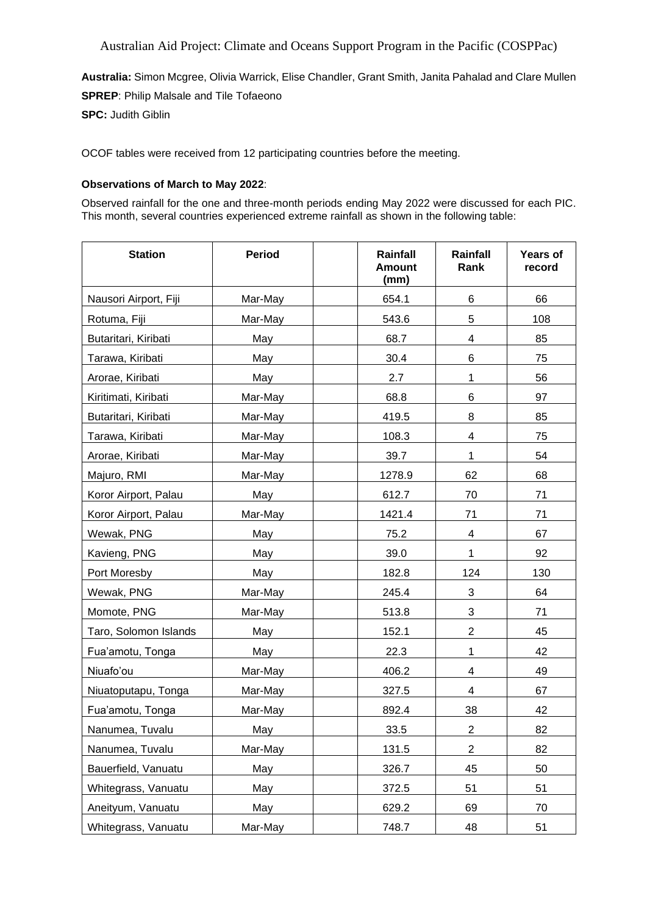**Australia:** Simon Mcgree, Olivia Warrick, Elise Chandler, Grant Smith, Janita Pahalad and Clare Mullen **SPREP**: Philip Malsale and Tile Tofaeono

**SPC:** Judith Giblin

OCOF tables were received from 12 participating countries before the meeting.

#### **Observations of March to May 2022**:

Observed rainfall for the one and three-month periods ending May 2022 were discussed for each PIC. This month, several countries experienced extreme rainfall as shown in the following table:

| <b>Station</b>        | <b>Period</b> | Rainfall<br><b>Amount</b><br>(mm) | Rainfall<br>Rank | <b>Years of</b><br>record |
|-----------------------|---------------|-----------------------------------|------------------|---------------------------|
| Nausori Airport, Fiji | Mar-May       | 654.1                             | 6                | 66                        |
| Rotuma, Fiji          | Mar-May       | 543.6                             | 5                | 108                       |
| Butaritari, Kiribati  | May           | 68.7                              | 4                | 85                        |
| Tarawa, Kiribati      | May           | 30.4                              | 6                | 75                        |
| Arorae, Kiribati      | May           | 2.7                               | $\mathbf{1}$     | 56                        |
| Kiritimati, Kiribati  | Mar-May       | 68.8                              | 6                | 97                        |
| Butaritari, Kiribati  | Mar-May       | 419.5                             | 8                | 85                        |
| Tarawa, Kiribati      | Mar-May       | 108.3                             | 4                | 75                        |
| Arorae, Kiribati      | Mar-May       | 39.7                              | $\mathbf{1}$     | 54                        |
| Majuro, RMI           | Mar-May       | 1278.9                            | 62               | 68                        |
| Koror Airport, Palau  | May           | 612.7                             | 70               | 71                        |
| Koror Airport, Palau  | Mar-May       | 1421.4                            | 71               | 71                        |
| Wewak, PNG            | May           | 75.2                              | 4                | 67                        |
| Kavieng, PNG          | May           | 39.0                              | $\mathbf{1}$     | 92                        |
| Port Moresby          | May           | 182.8                             | 124              | 130                       |
| Wewak, PNG            | Mar-May       | 245.4                             | 3                | 64                        |
| Momote, PNG           | Mar-May       | 513.8                             | 3                | 71                        |
| Taro, Solomon Islands | May           | 152.1                             | $\overline{2}$   | 45                        |
| Fua'amotu, Tonga      | May           | 22.3                              | $\mathbf{1}$     | 42                        |
| Niuafo'ou             | Mar-May       | 406.2                             | 4                | 49                        |
| Niuatoputapu, Tonga   | Mar-May       | 327.5                             | 4                | 67                        |
| Fua'amotu, Tonga      | Mar-May       | 892.4                             | 38               | 42                        |
| Nanumea, Tuvalu       | May           | 33.5                              | $\overline{c}$   | 82                        |
| Nanumea, Tuvalu       | Mar-May       | 131.5                             | $\overline{2}$   | 82                        |
| Bauerfield, Vanuatu   | May           | 326.7                             | 45               | 50                        |
| Whitegrass, Vanuatu   | May           | 372.5                             | 51               | 51                        |
| Aneityum, Vanuatu     | May           | 629.2                             | 69               | 70                        |
| Whitegrass, Vanuatu   | Mar-May       | 748.7                             | 48               | 51                        |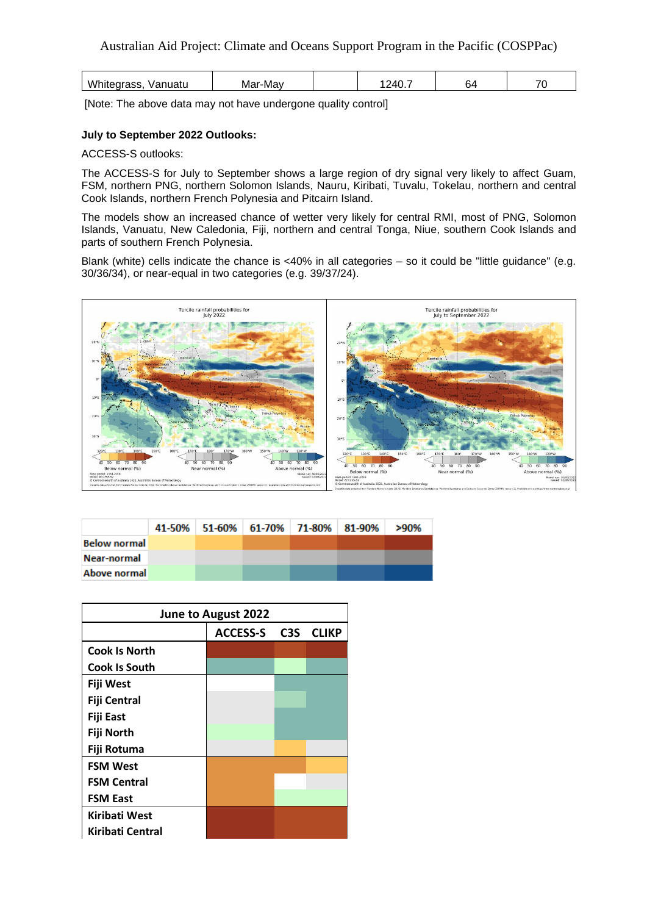| ---<br>√anuatu<br>w | אי∩.<br>'VIc<br>᠇◡ | O٣ | $\overline{\phantom{a}}$ |
|---------------------|--------------------|----|--------------------------|
|---------------------|--------------------|----|--------------------------|

[Note: The above data may not have undergone quality control]

#### **July to September 2022 Outlooks:**

ACCESS-S outlooks:

The ACCESS-S for July to September shows a large region of dry signal very likely to affect Guam, FSM, northern PNG, northern Solomon Islands, Nauru, Kiribati, Tuvalu, Tokelau, northern and central Cook Islands, northern French Polynesia and Pitcairn Island.

The models show an increased chance of wetter very likely for central RMI, most of PNG, Solomon Islands, Vanuatu, New Caledonia, Fiji, northern and central Tonga, Niue, southern Cook Islands and parts of southern French Polynesia.

Blank (white) cells indicate the chance is <40% in all categories – so it could be "little guidance" (e.g. 30/36/34), or near-equal in two categories (e.g. 39/37/24).



|                     | 41-50% 51-60% 61-70% 71-80% 81-90% |  | >90% |
|---------------------|------------------------------------|--|------|
| <b>Below normal</b> |                                    |  |      |
| Near-normal         |                                    |  |      |
| Above normal        |                                    |  |      |

| June to August 2022  |          |  |           |  |  |  |
|----------------------|----------|--|-----------|--|--|--|
|                      | ACCESS-S |  | C3S CLIKP |  |  |  |
| <b>Cook Is North</b> |          |  |           |  |  |  |
| <b>Cook Is South</b> |          |  |           |  |  |  |
| <b>Fiji West</b>     |          |  |           |  |  |  |
| <b>Fiji Central</b>  |          |  |           |  |  |  |
| <b>Fiji East</b>     |          |  |           |  |  |  |
| Fiji North           |          |  |           |  |  |  |
| Fiji Rotuma          |          |  |           |  |  |  |
| <b>FSM West</b>      |          |  |           |  |  |  |
| <b>FSM Central</b>   |          |  |           |  |  |  |
| <b>FSM East</b>      |          |  |           |  |  |  |
| Kiribati West        |          |  |           |  |  |  |
| Kiribati Central     |          |  |           |  |  |  |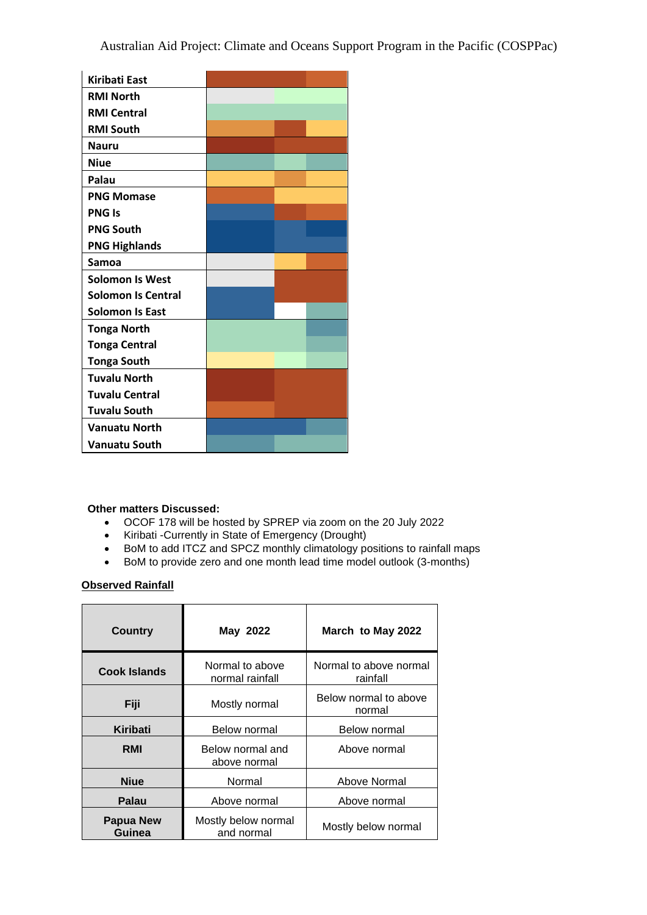| <b>Kiribati East</b>      |  |
|---------------------------|--|
| <b>RMI North</b>          |  |
| <b>RMI Central</b>        |  |
| <b>RMI South</b>          |  |
| <b>Nauru</b>              |  |
| <b>Niue</b>               |  |
| Palau                     |  |
| <b>PNG Momase</b>         |  |
| <b>PNG Is</b>             |  |
| <b>PNG South</b>          |  |
| <b>PNG Highlands</b>      |  |
| Samoa                     |  |
| <b>Solomon Is West</b>    |  |
| <b>Solomon Is Central</b> |  |
| <b>Solomon Is East</b>    |  |
| <b>Tonga North</b>        |  |
| <b>Tonga Central</b>      |  |
| <b>Tonga South</b>        |  |
| <b>Tuvalu North</b>       |  |
| <b>Tuvalu Central</b>     |  |
| <b>Tuvalu South</b>       |  |
| <b>Vanuatu North</b>      |  |
| <b>Vanuatu South</b>      |  |

## **Other matters Discussed:**

- OCOF 178 will be hosted by SPREP via zoom on the 20 July 2022
- Kiribati -Currently in State of Emergency (Drought)
- BoM to add ITCZ and SPCZ monthly climatology positions to rainfall maps
- BoM to provide zero and one month lead time model outlook (3-months)

#### **Observed Rainfall**

| <b>Country</b>      | May 2022                           | March to May 2022                  |  |
|---------------------|------------------------------------|------------------------------------|--|
| <b>Cook Islands</b> | Normal to above<br>normal rainfall | Normal to above normal<br>rainfall |  |
| Fiji                | Mostly normal                      | Below normal to above<br>normal    |  |
| Kiribati            | <b>Below normal</b>                | <b>Below normal</b>                |  |
| <b>RMI</b>          | Below normal and<br>above normal   | Above normal                       |  |
| <b>Niue</b>         | Normal                             | Above Normal                       |  |
| Palau               | Above normal                       | Above normal                       |  |
| Papua New<br>Guinea | Mostly below normal<br>and normal  | Mostly below normal                |  |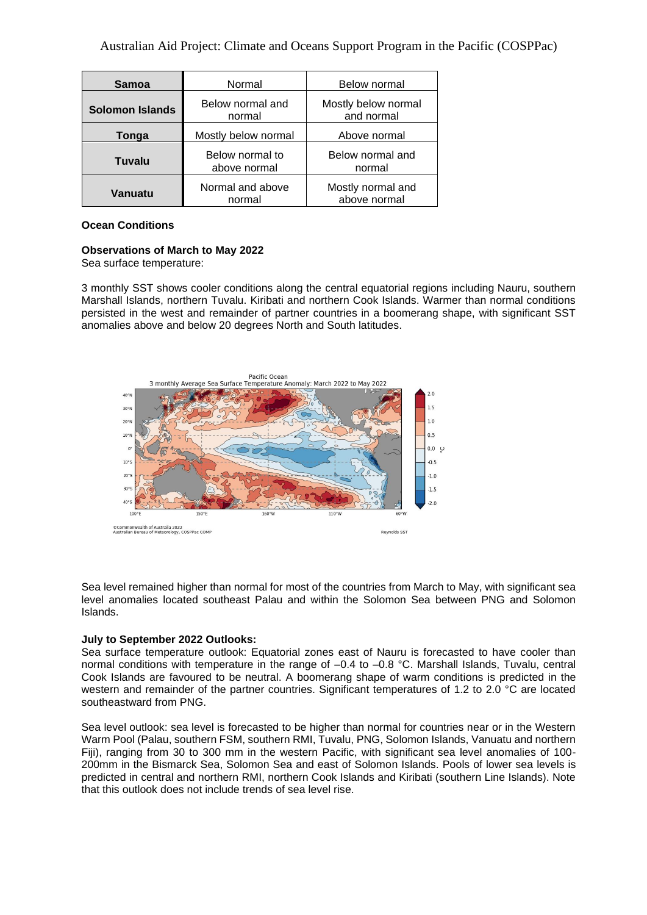| <b>Samoa</b>           | Normal                          | Below normal                      |
|------------------------|---------------------------------|-----------------------------------|
| <b>Solomon Islands</b> | Below normal and<br>normal      | Mostly below normal<br>and normal |
| Tonga                  | Mostly below normal             | Above normal                      |
| Tuvalu                 | Below normal to<br>above normal | Below normal and<br>normal        |
| Vanuatu                | Normal and above<br>normal      | Mostly normal and<br>above normal |

#### **Ocean Conditions**

# **Observations of March to May 2022**

Sea surface temperature:

3 monthly SST shows cooler conditions along the central equatorial regions including Nauru, southern Marshall Islands, northern Tuvalu. Kiribati and northern Cook Islands. Warmer than normal conditions persisted in the west and remainder of partner countries in a boomerang shape, with significant SST anomalies above and below 20 degrees North and South latitudes.



Sea level remained higher than normal for most of the countries from March to May, with significant sea level anomalies located southeast Palau and within the Solomon Sea between PNG and Solomon Islands.

#### **July to September 2022 Outlooks:**

Sea surface temperature outlook: Equatorial zones east of Nauru is forecasted to have cooler than normal conditions with temperature in the range of –0.4 to –0.8 °C. Marshall Islands, Tuvalu, central Cook Islands are favoured to be neutral. A boomerang shape of warm conditions is predicted in the western and remainder of the partner countries. Significant temperatures of 1.2 to 2.0 °C are located southeastward from PNG.

Sea level outlook: sea level is forecasted to be higher than normal for countries near or in the Western Warm Pool (Palau, southern FSM, southern RMI, Tuvalu, PNG, Solomon Islands, Vanuatu and northern Fiji), ranging from 30 to 300 mm in the western Pacific, with significant sea level anomalies of 100- 200mm in the Bismarck Sea, Solomon Sea and east of Solomon Islands. Pools of lower sea levels is predicted in central and northern RMI, northern Cook Islands and Kiribati (southern Line Islands). Note that this outlook does not include trends of sea level rise.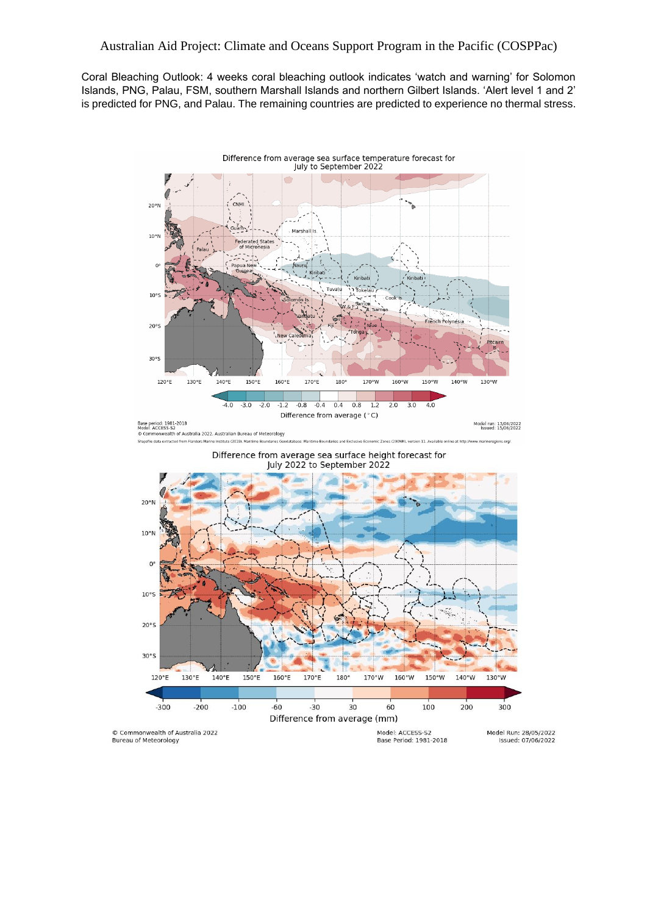### Australian Aid Project: Climate and Oceans Support Program in the Pacific (COSPPac)

Coral Bleaching Outlook: 4 weeks coral bleaching outlook indicates 'watch and warning' for Solomon Islands, PNG, Palau, FSM, southern Marshall Islands and northern Gilbert Islands. 'Alert level 1 and 2' is predicted for PNG, and Palau. The remaining countries are predicted to experience no thermal stress.

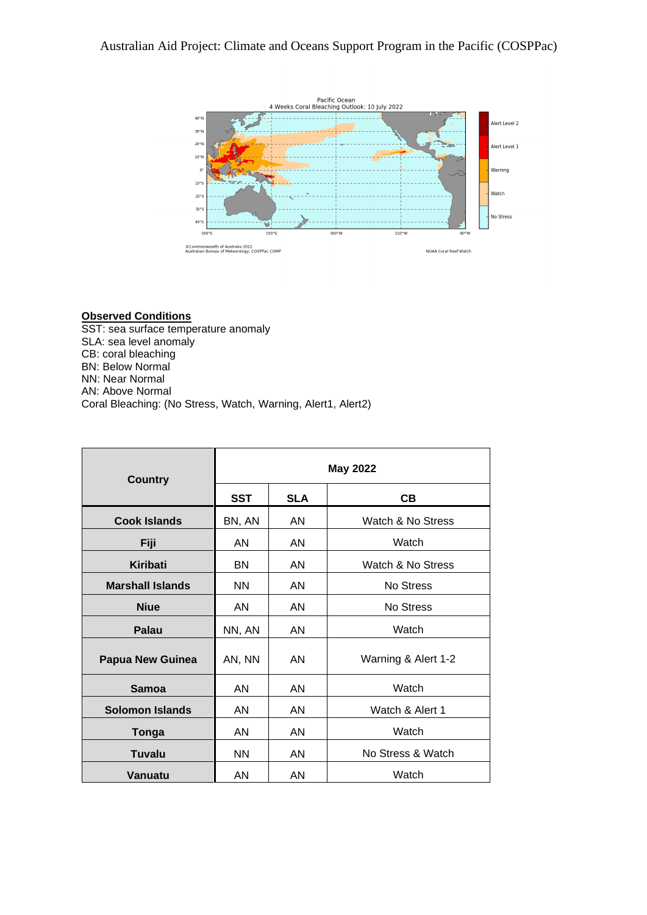

#### **Observed Conditions**

SST: sea surface temperature anomaly SLA: sea level anomaly CB: coral bleaching BN: Below Normal NN: Near Normal AN: Above Normal Coral Bleaching: (No Stress, Watch, Warning, Alert1, Alert2)

| <b>Country</b>          | <b>May 2022</b> |            |                     |  |
|-------------------------|-----------------|------------|---------------------|--|
|                         | <b>SST</b>      | <b>SLA</b> | CВ                  |  |
| <b>Cook Islands</b>     | BN, AN          | AN         | Watch & No Stress   |  |
| Fiji                    | AN              | AN         | Watch               |  |
| Kiribati                | <b>BN</b>       | AN         | Watch & No Stress   |  |
| <b>Marshall Islands</b> | <b>NN</b>       | AN         | No Stress           |  |
| <b>Niue</b>             | AN.             | AN         | <b>No Stress</b>    |  |
| Palau                   | NN, AN          | AN         | Watch               |  |
| <b>Papua New Guinea</b> | AN, NN          | AN         | Warning & Alert 1-2 |  |
| Samoa                   | AN              | AN         | Watch               |  |
| <b>Solomon Islands</b>  | AN              | AN         | Watch & Alert 1     |  |
| Tonga                   | AN.             | AN         | Watch               |  |
| Tuvalu                  | <b>NN</b>       | AN         | No Stress & Watch   |  |
| <b>Vanuatu</b>          | AN              | AN         | Watch               |  |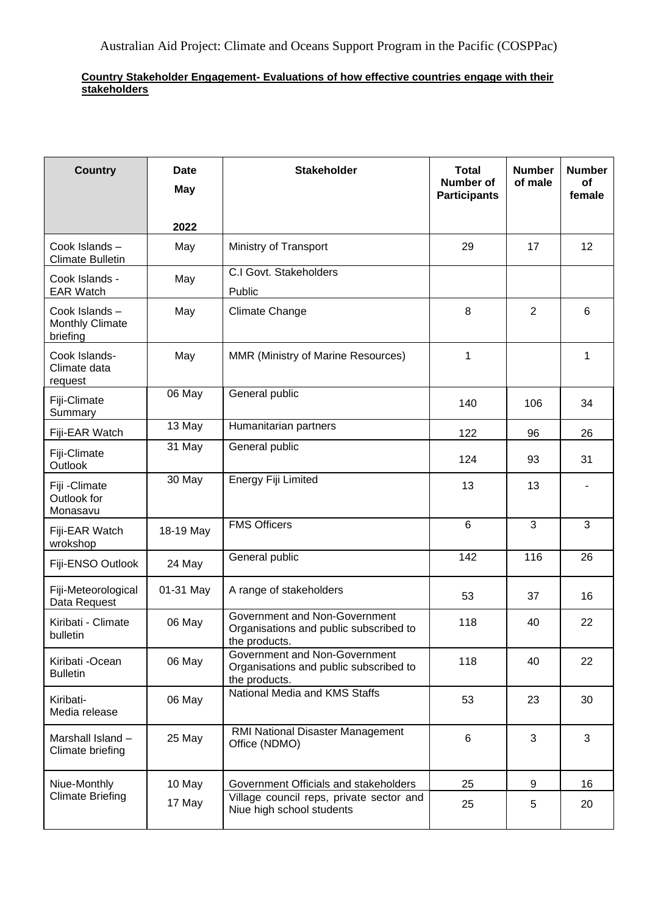### **Country Stakeholder Engagement- Evaluations of how effective countries engage with their stakeholders**

| <b>Country</b>                                      | <b>Date</b><br><b>May</b> | <b>Stakeholder</b>                                                                       | <b>Total</b><br>Number of<br><b>Participants</b> | <b>Number</b><br>of male | <b>Number</b><br>of<br>female |
|-----------------------------------------------------|---------------------------|------------------------------------------------------------------------------------------|--------------------------------------------------|--------------------------|-------------------------------|
|                                                     | 2022                      |                                                                                          |                                                  |                          |                               |
| Cook Islands-<br><b>Climate Bulletin</b>            | May                       | Ministry of Transport                                                                    | 29                                               | 17                       | 12                            |
| Cook Islands -<br><b>EAR Watch</b>                  | May                       | C.I Govt. Stakeholders<br>Public                                                         |                                                  |                          |                               |
| Cook Islands-<br><b>Monthly Climate</b><br>briefing | May                       | <b>Climate Change</b>                                                                    | 8                                                | $\overline{2}$           | 6                             |
| Cook Islands-<br>Climate data<br>request            | May                       | MMR (Ministry of Marine Resources)                                                       | 1                                                |                          | 1                             |
| Fiji-Climate<br>Summary                             | 06 May                    | General public                                                                           | 140                                              | 106                      | 34                            |
| Fiji-EAR Watch                                      | 13 May                    | Humanitarian partners                                                                    | 122                                              | 96                       | 26                            |
| Fiji-Climate<br>Outlook                             | 31 May                    | General public                                                                           | 124                                              | 93                       | 31                            |
| Fiji - Climate<br>Outlook for<br>Monasavu           | 30 May                    | Energy Fiji Limited                                                                      | 13                                               | 13                       |                               |
| Fiji-EAR Watch<br>wrokshop                          | 18-19 May                 | <b>FMS Officers</b>                                                                      | 6                                                | 3                        | 3                             |
| Fiji-ENSO Outlook                                   | 24 May                    | General public                                                                           | 142                                              | 116                      | 26                            |
| Fiji-Meteorological<br>Data Request                 | 01-31 May                 | A range of stakeholders                                                                  | 53                                               | 37                       | 16                            |
| Kiribati - Climate<br>bulletin                      | 06 May                    | Government and Non-Government<br>Organisations and public subscribed to<br>the products. | 118                                              | 40                       | 22                            |
| Kiribati -Ocean<br><b>Bulletin</b>                  | 06 May                    | Government and Non-Government<br>Organisations and public subscribed to<br>the products. | 118                                              | 40                       | 22                            |
| Kiribati-<br>Media release                          | 06 May                    | National Media and KMS Staffs                                                            | 53                                               | 23                       | 30                            |
| Marshall Island -<br>Climate briefing               | 25 May                    | RMI National Disaster Management<br>Office (NDMO)                                        | 6                                                | 3                        | 3                             |
| Niue-Monthly                                        | 10 May                    | Government Officials and stakeholders                                                    | 25                                               | 9                        | 16                            |
| <b>Climate Briefing</b>                             | 17 May                    | Village council reps, private sector and<br>Niue high school students                    | 25                                               | 5                        | 20                            |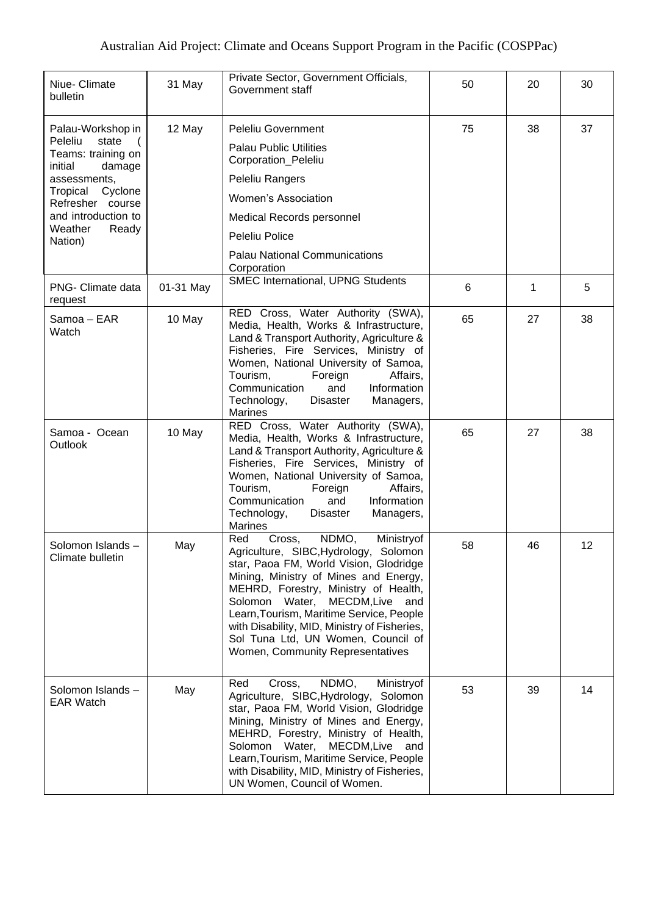| Niue- Climate<br>bulletin                                                                                                                                                                      | 31 May    | Private Sector, Government Officials,<br>Government staff                                                                                                                                                                                                                                                                                                                                                           | 50 | 20 | 30 |
|------------------------------------------------------------------------------------------------------------------------------------------------------------------------------------------------|-----------|---------------------------------------------------------------------------------------------------------------------------------------------------------------------------------------------------------------------------------------------------------------------------------------------------------------------------------------------------------------------------------------------------------------------|----|----|----|
| Palau-Workshop in<br>Peleliu<br>state<br>Teams: training on<br>initial<br>damage<br>assessments,<br>Tropical Cyclone<br>Refresher course<br>and introduction to<br>Weather<br>Ready<br>Nation) | 12 May    | <b>Peleliu Government</b><br><b>Palau Public Utilities</b><br>Corporation_Peleliu<br>Peleliu Rangers<br><b>Women's Association</b><br>Medical Records personnel<br>Peleliu Police<br><b>Palau National Communications</b><br>Corporation                                                                                                                                                                            | 75 | 38 | 37 |
| PNG- Climate data<br>request                                                                                                                                                                   | 01-31 May | SMEC International, UPNG Students                                                                                                                                                                                                                                                                                                                                                                                   | 6  | 1  | 5  |
| Samoa – EAR<br>Watch                                                                                                                                                                           | 10 May    | RED Cross, Water Authority (SWA),<br>Media, Health, Works & Infrastructure,<br>Land & Transport Authority, Agriculture &<br>Fisheries, Fire Services, Ministry of<br>Women, National University of Samoa,<br>Tourism,<br>Foreign<br>Affairs,<br>Communication<br>and<br>Information<br>Technology,<br><b>Disaster</b><br>Managers,<br>Marines                                                                       | 65 | 27 | 38 |
| Samoa - Ocean<br>Outlook                                                                                                                                                                       | 10 May    | RED Cross, Water Authority (SWA),<br>Media, Health, Works & Infrastructure,<br>Land & Transport Authority, Agriculture &<br>Fisheries, Fire Services, Ministry of<br>Women, National University of Samoa,<br>Tourism,<br>Affairs,<br>Foreign<br>Communication<br>Information<br>and<br>Technology,<br><b>Disaster</b><br>Managers,<br><b>Marines</b>                                                                | 65 | 27 | 38 |
| Solomon Islands -<br>Climate bulletin                                                                                                                                                          | May       | NDMO,<br>Cross,<br>Ministryof<br>Red<br>Agriculture, SIBC, Hydrology,<br>Solomon<br>star, Paoa FM, World Vision, Glodridge<br>Mining, Ministry of Mines and Energy,<br>MEHRD, Forestry, Ministry of Health,<br>Solomon Water, MECDM, Live and<br>Learn, Tourism, Maritime Service, People<br>with Disability, MID, Ministry of Fisheries,<br>Sol Tuna Ltd, UN Women, Council of<br>Women, Community Representatives | 58 | 46 | 12 |
| Solomon Islands-<br><b>EAR Watch</b>                                                                                                                                                           | May       | NDMO,<br>Ministryof<br>Red<br>Cross,<br>Agriculture, SIBC, Hydrology, Solomon<br>star, Paoa FM, World Vision, Glodridge<br>Mining, Ministry of Mines and Energy,<br>MEHRD, Forestry, Ministry of Health,<br>Solomon Water, MECDM, Live and<br>Learn, Tourism, Maritime Service, People<br>with Disability, MID, Ministry of Fisheries,<br>UN Women, Council of Women.                                               | 53 | 39 | 14 |